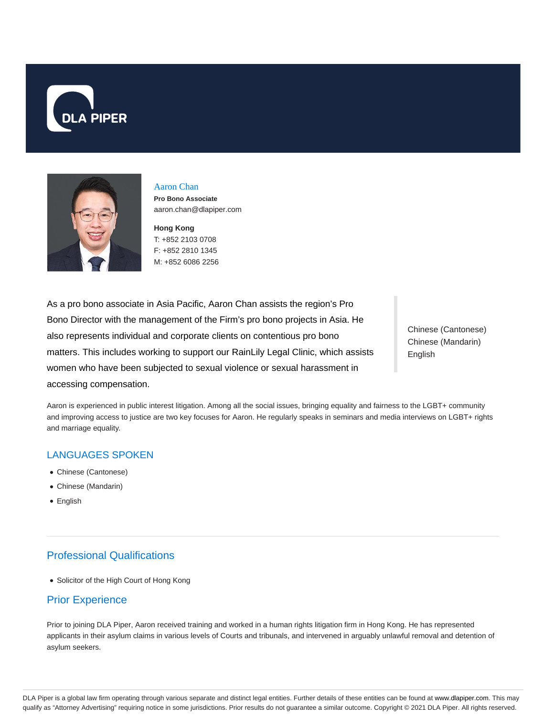



#### Aaron Chan

**Pro Bono Associate** aaron.chan@dlapiper.com

**Hong Kong** T: +852 2103 0708 F: +852 2810 1345 M: +852 6086 2256

As a pro bono associate in Asia Pacific, Aaron Chan assists the region's Pro Bono Director with the management of the Firm's pro bono projects in Asia. He also represents individual and corporate clients on contentious pro bono matters. This includes working to support our RainLily Legal Clinic, which assists women who have been subjected to sexual violence or sexual harassment in accessing compensation.

Chinese (Cantonese) Chinese (Mandarin) English

Aaron is experienced in public interest litigation. Among all the social issues, bringing equality and fairness to the LGBT+ community and improving access to justice are two key focuses for Aaron. He regularly speaks in seminars and media interviews on LGBT+ rights and marriage equality.

# LANGUAGES SPOKEN

- Chinese (Cantonese)
- Chinese (Mandarin)
- English

# Professional Qualifications

Solicitor of the High Court of Hong Kong

# Prior Experience

Prior to joining DLA Piper, Aaron received training and worked in a human rights litigation firm in Hong Kong. He has represented applicants in their asylum claims in various levels of Courts and tribunals, and intervened in arguably unlawful removal and detention of asylum seekers.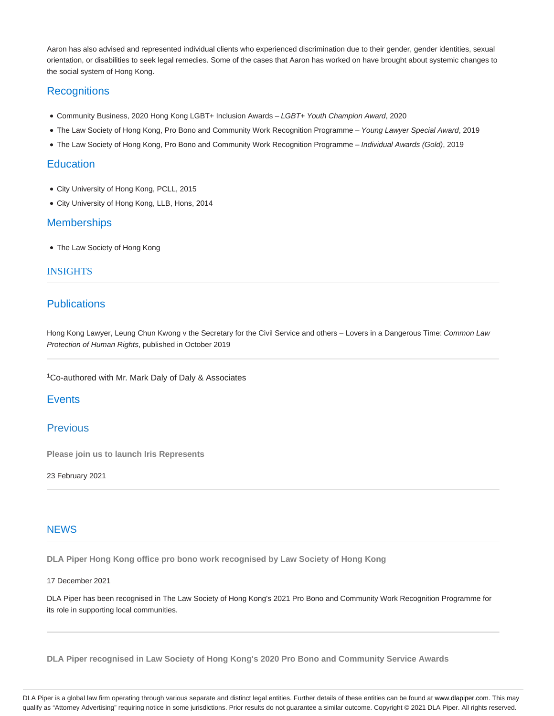Aaron has also advised and represented individual clients who experienced discrimination due to their gender, gender identities, sexual orientation, or disabilities to seek legal remedies. Some of the cases that Aaron has worked on have brought about systemic changes to the social system of Hong Kong.

# **Recognitions**

- Community Business, 2020 Hong Kong LGBT+ Inclusion Awards LGBT+ Youth Champion Award, 2020
- . The Law Society of Hong Kong, Pro Bono and Community Work Recognition Programme Young Lawyer Special Award, 2019
- . The Law Society of Hong Kong, Pro Bono and Community Work Recognition Programme Individual Awards (Gold), 2019

## **Education**

- City University of Hong Kong, PCLL, 2015
- City University of Hong Kong, LLB, Hons, 2014

### **Memberships**

The Law Society of Hong Kong

### INSIGHTS

## **Publications**

Hong Kong Lawyer, Leung Chun Kwong v the Secretary for the Civil Service and others - Lovers in a Dangerous Time: Common Law Protection of Human Rights, published in October 2019

<sup>1</sup>Co-authored with Mr. Mark Daly of Daly & Associates

## **Events**

### Previous

**Please join us to launch Iris Represents**

23 February 2021

### **NEWS**

**DLA Piper Hong Kong office pro bono work recognised by Law Society of Hong Kong**

#### 17 December 2021

DLA Piper has been recognised in The Law Society of Hong Kong's 2021 Pro Bono and Community Work Recognition Programme for its role in supporting local communities.

**DLA Piper recognised in Law Society of Hong Kong's 2020 Pro Bono and Community Service Awards**

DLA Piper is a global law firm operating through various separate and distinct legal entities. Further details of these entities can be found at www.dlapiper.com. This may qualify as "Attorney Advertising" requiring notice in some jurisdictions. Prior results do not guarantee a similar outcome. Copyright © 2021 DLA Piper. All rights reserved.